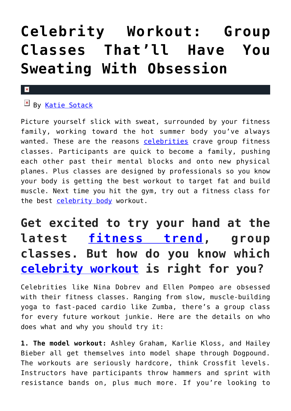# **[Celebrity Workout: Group](https://cupidspulse.com/132242/celebrity-workout-group-classes-sweating-obsession/) [Classes That'll Have You](https://cupidspulse.com/132242/celebrity-workout-group-classes-sweating-obsession/) [Sweating With Obsession](https://cupidspulse.com/132242/celebrity-workout-group-classes-sweating-obsession/)**

#### $\pmb{\times}$

By [Katie Sotack](http://cupidspulse.com/131001/katie-sotack/)

Picture yourself slick with sweat, surrounded by your fitness family, working toward the hot summer body you've always wanted. These are the reasons [celebrities](http://cupidspulse.com/celebrity-profiles/) crave group fitness classes. Participants are quick to become a family, pushing each other past their mental blocks and onto new physical planes. Plus classes are designed by professionals so you know your body is getting the best workout to target fat and build muscle. Next time you hit the gym, try out a fitness class for the best [celebrity body](http://cupidspulse.com/?s=celebrity+body) workout.

## **Get excited to try your hand at the latest [fitness trend](http://cupidspulse.com/?s=fitness+trend), group classes. But how do you know which [celebrity workout](http://cupidspulse.com/?s=celebrity+workout) is right for you?**

Celebrities like Nina Dobrev and Ellen Pompeo are obsessed with their fitness classes. Ranging from slow, muscle-building yoga to fast-paced cardio like Zumba, there's a group class for every future workout junkie. Here are the details on who does what and why you should try it:

**1. The model workout:** Ashley Graham, Karlie Kloss, and Hailey Bieber all get themselves into model shape through Dogpound. The workouts are seriously hardcore, think Crossfit levels. Instructors have participants throw hammers and sprint with resistance bands on, plus much more. If you're looking to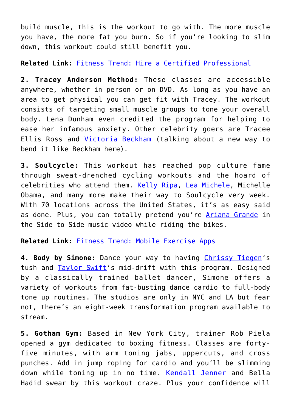build muscle, this is the workout to go with. The more muscle you have, the more fat you burn. So if you're looking to slim down, this workout could still benefit you.

**Related Link:** [Fitness Trend: Hire a Certified Professional](http://cupidspulse.com/130804/fitness-trend-hire-certified-professional/)

**2. Tracey Anderson Method:** These classes are accessible anywhere, whether in person or on DVD. As long as you have an area to get physical you can get fit with Tracey. The workout consists of targeting small muscle groups to tone your overall body. Lena Dunham even credited the program for helping to ease her infamous anxiety. Other celebrity goers are Tracee Ellis Ross and [Victoria Beckham](http://cupidspulse.com/93029/victoria-beckham/) (talking about a new way to bend it like Beckham here).

**3. Soulcycle:** This workout has reached pop culture fame through sweat-drenched cycling workouts and the hoard of celebrities who attend them. [Kelly Ripa,](http://cupidspulse.com/113848/kelly-ripa/) [Lea Michele,](http://cupidspulse.com/89075/lea-michele/) Michelle Obama, and many more make their way to Soulcycle very week. With 70 locations across the United States, it's as easy said as done. Plus, you can totally pretend you're [Ariana Grande](http://cupidspulse.com/87704/ariana-grande/) in the Side to Side music video while riding the bikes.

**Related Link:** [Fitness Trend: Mobile Exercise Apps](http://cupidspulse.com/130615/fitness-trend-mobile-exercise-apps/)

**4. Body by Simone:** Dance your way to having [Chrissy Tiegen](http://cupidspulse.com/109122/chrissy-teigen/)'s tush and [Taylor Swift](http://cupidspulse.com/86081/taylor-swift/)'s mid-drift with this program. Designed by a classically trained ballet dancer, Simone offers a variety of workouts from fat-busting dance cardio to full-body tone up routines. The studios are only in NYC and LA but fear not, there's an eight-week transformation program available to stream.

**5. Gotham Gym:** Based in New York City, trainer Rob Piela opened a gym dedicated to boxing fitness. Classes are fortyfive minutes, with arm toning jabs, uppercuts, and cross punches. Add in jump roping for cardio and you'll be slimming down while toning up in no time. [Kendall Jenner](http://cupidspulse.com/93049/kendall-jenner/) and Bella Hadid swear by this workout craze. Plus your confidence will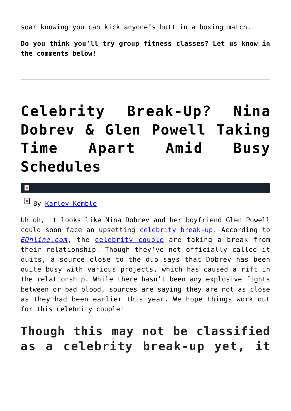soar knowing you can kick anyone's butt in a boxing match.

**Do you think you'll try group fitness classes? Let us know in the comments below!**

# **[Celebrity Break-Up? Nina](https://cupidspulse.com/121883/celebrity-break-up-nina-dobrev-glen-powell-taking-time-apart/) [Dobrev & Glen Powell Taking](https://cupidspulse.com/121883/celebrity-break-up-nina-dobrev-glen-powell-taking-time-apart/) [Time Apart Amid Busy](https://cupidspulse.com/121883/celebrity-break-up-nina-dobrev-glen-powell-taking-time-apart/) [Schedules](https://cupidspulse.com/121883/celebrity-break-up-nina-dobrev-glen-powell-taking-time-apart/)**

 $\pmb{\times}$ 

By [Karley Kemble](http://cupidspulse.com/121255/karley-kemble/)

Uh oh, it looks like Nina Dobrev and her boyfriend Glen Powell could soon face an upsetting [celebrity break-up.](http://cupidspulse.com/celebrity-relationships/break-up-divorce/) According to *[EOnline.com](http://www.eonline.com/news/897118/nina-dobrev-and-glen-powell-taking-time-apart-amid-busy-schedules)*, the [celebrity couple](http://cupidspulse.com/celebrity-news/celebrity-dating/) are taking a break from their relationship. Though they've not officially called it quits, a source close to the duo says that Dobrev has been quite busy with various projects, which has caused a rift in the relationship. While there hasn't been any explosive fights between or bad blood, sources are saying they are not as close as they had been earlier this year. We hope things work out for this celebrity couple!

## **Though this may not be classified as a celebrity break-up yet, it**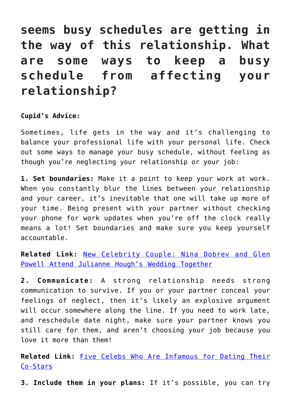**seems busy schedules are getting in the way of this relationship. What are some ways to keep a busy schedule from affecting your relationship?**

#### **Cupid's Advice:**

Sometimes, life gets in the way and it's challenging to balance your professional life with your personal life. Check out some ways to manage your busy schedule, without feeling as though you're neglecting your relationship or your job:

**1. Set boundaries:** Make it a point to keep your work at work. When you constantly blur the lines between your relationship and your career, it's inevitable that one will take up more of your time. Being present with your partner without checking your phone for work updates when you're off the clock really means a lot! Set boundaries and make sure you keep yourself accountable.

**Related Link:** [New Celebrity Couple: Nina Dobrev and Glen](http://cupidspulse.com/119732/new-celebrity-couple-nina-dobrev-glen-powell-attend-julianne-houghs-wedding/) [Powell Attend Julianne Hough's Wedding Together](http://cupidspulse.com/119732/new-celebrity-couple-nina-dobrev-glen-powell-attend-julianne-houghs-wedding/)

**2. Communicate:** A strong relationship needs strong communication to survive. If you or your partner conceal your feelings of neglect, then it's likely an explosive argument will occur somewhere along the line. If you need to work late, and reschedule date night, make sure your partner knows you still care for them, and aren't choosing your job because you love it more than them!

**Related Link:** [Five Celebs Who Are Infamous for Dating Their](http://cupidspulse.com/98788/five-celebs-infamous-dating-co-stars/) [Co-Stars](http://cupidspulse.com/98788/five-celebs-infamous-dating-co-stars/)

**3. Include them in your plans:** If it's possible, you can try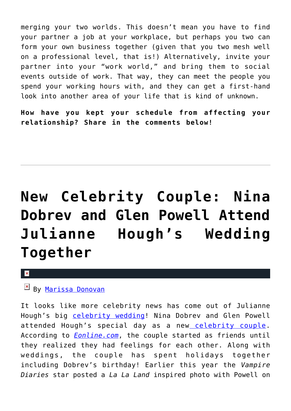merging your two worlds. This doesn't mean you have to find your partner a job at your workplace, but perhaps you two can form your own business together (given that you two mesh well on a professional level, that is!) Alternatively, invite your partner into your "work world," and bring them to social events outside of work. That way, they can meet the people you spend your working hours with, and they can get a first-hand look into another area of your life that is kind of unknown.

**How have you kept your schedule from affecting your relationship? Share in the comments below!**

# **[New Celebrity Couple: Nina](https://cupidspulse.com/119732/new-celebrity-couple-nina-dobrev-glen-powell-attend-julianne-houghs-wedding/) [Dobrev and Glen Powell Attend](https://cupidspulse.com/119732/new-celebrity-couple-nina-dobrev-glen-powell-attend-julianne-houghs-wedding/) [Julianne Hough's Wedding](https://cupidspulse.com/119732/new-celebrity-couple-nina-dobrev-glen-powell-attend-julianne-houghs-wedding/) [Together](https://cupidspulse.com/119732/new-celebrity-couple-nina-dobrev-glen-powell-attend-julianne-houghs-wedding/)**

 $\vert \mathbf{x} \vert$ 

### **E** By [Marissa Donovan](http://cupidspulse.com/118743/marissa-donovan/)

It looks like more celebrity news has come out of Julianne Hough's big [celebrity wedding](http://cupidspulse.com/celebrity-news/celebrity-weddings/)! Nina Dobrev and Glen Powell attended Hough's special day as a new [celebrity couple.](http://cupidspulse.com/celebrity-news/celebrity-dating/) According to *[Eonline.com](http://www.eonline.com/news/866093/nina-dobrev-and-glen-powell-are-dating)*, the couple started as friends until they realized they had feelings for each other. Along with weddings, the couple has spent holidays together including Dobrev's birthday! Earlier this year the *Vampire Diaries* star posted a *La La Land* inspired photo with Powell on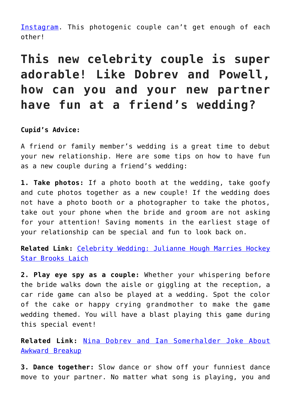[Instagram.](https://www.instagram.com/p/BPlbOYmAJdS/) This photogenic couple can't get enough of each other!

## **This new celebrity couple is super adorable! Like Dobrev and Powell, how can you and your new partner have fun at a friend's wedding?**

#### **Cupid's Advice:**

A friend or family member's wedding is a great time to debut your new relationship. Here are some tips on how to have fun as a new couple during a friend's wedding:

**1. Take photos:** If a photo booth at the wedding, take goofy and cute photos together as a new couple! If the wedding does not have a photo booth or a photographer to take the photos, take out your phone when the bride and groom are not asking for your attention! Saving moments in the earliest stage of your relationship can be special and fun to look back on.

**Related Link:** [Celebrity Wedding: Julianne Hough Marries Hockey](http://cupidspulse.com/119679/celebrity-wedding-julianne-hough-marries-hockey-star-brooks-laich/) [Star Brooks Laich](http://cupidspulse.com/119679/celebrity-wedding-julianne-hough-marries-hockey-star-brooks-laich/)

**2. Play eye spy as a couple:** Whether your whispering before the bride walks down the aisle or giggling at the reception, a car ride game can also be played at a wedding. Spot the color of the cake or happy crying grandmother to make the game wedding themed. You will have a blast playing this game during this special event!

**Related Link:** [Nina Dobrev and Ian Somerhalder Joke About](http://cupidspulse.com/67505/nina-dobrev-and-ian-somerhalder-joke-about-awkward-breakup/) [Awkward Breakup](http://cupidspulse.com/67505/nina-dobrev-and-ian-somerhalder-joke-about-awkward-breakup/)

**3. Dance together:** Slow dance or show off your funniest dance move to your partner. No matter what song is playing, you and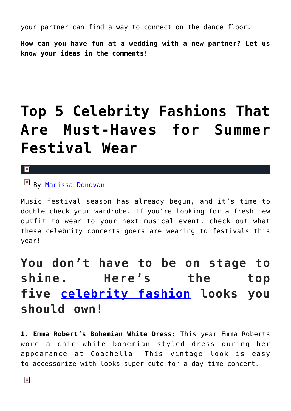your partner can find a way to connect on the dance floor.

**How can you have fun at a wedding with a new partner? Let us know your ideas in the comments!**

# **[Top 5 Celebrity Fashions That](https://cupidspulse.com/119108/celebrity-fashions-summer-festival/) [Are Must-Haves for Summer](https://cupidspulse.com/119108/celebrity-fashions-summer-festival/) [Festival Wear](https://cupidspulse.com/119108/celebrity-fashions-summer-festival/)**

 $\pmb{\times}$ 

By [Marissa Donovan](http://cupidspulse.com/118743/marissa-donovan/)

Music festival season has already begun, and it's time to double check your wardrobe. If you're looking for a fresh new outfit to wear to your next musical event, check out what these celebrity concerts goers are wearing to festivals this year!

## **You don't have to be on stage to shine. Here's the top five [celebrity fashion](http://cupidspulse.com/fashion/) looks you should own!**

**1. Emma Robert's Bohemian White Dress:** This year Emma Roberts wore a chic white bohemian styled dress during her appearance at Coachella. This vintage look is easy to accessorize with looks super cute for a day time concert.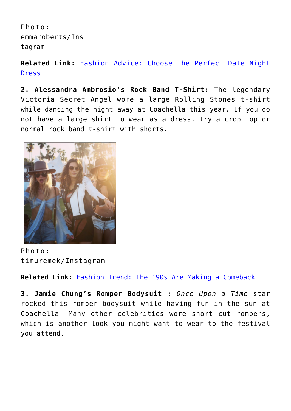Photo: emmaroberts/Ins tagram

**Related Link:** [Fashion Advice: Choose the Perfect Date Night](http://cupidspulse.com/118848/fashion-advice-perfect-date-night-dress/) [Dress](http://cupidspulse.com/118848/fashion-advice-perfect-date-night-dress/)

**2. Alessandra Ambrosio's Rock Band T-Shirt:** The legendary Victoria Secret Angel wore a large Rolling Stones t-shirt while dancing the night away at Coachella this year. If you do not have a large shirt to wear as a dress, try a crop top or normal rock band t-shirt with shorts.



Photo: timuremek/Instagram

**Related Link:** [Fashion Trend: The '90s Are Making a Comeback](http://cupidspulse.com/117157/fashion-trend-90s-making-comeback/)

**3. Jamie Chung's Romper Bodysuit :** *Once Upon a Time* star rocked this romper bodysuit while having fun in the sun at Coachella. Many other celebrities wore short cut rompers, which is another look you might want to wear to the festival you attend.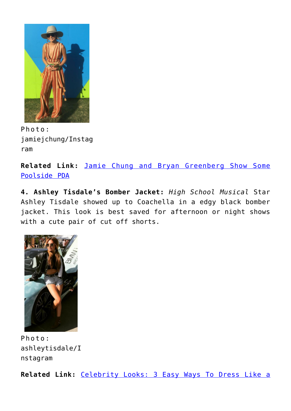

Photo: jamiejchung/Instag ram

**Related Link:** [Jamie Chung and Bryan Greenberg Show Some](http://cupidspulse.com/73220/jamie-chung-bryan-greenberg-show-poolside-pda/) [Poolside PDA](http://cupidspulse.com/73220/jamie-chung-bryan-greenberg-show-poolside-pda/)

**4. Ashley Tisdale's Bomber Jacket:** *High School Musical* Star Ashley Tisdale showed up to Coachella in a edgy black bomber jacket. This look is best saved for afternoon or night shows with a cute pair of cut off shorts.



Photo: ashleytisdale/I nstagram

**Related Link:** [Celebrity Looks: 3 Easy Ways To Dress Like a](http://cupidspulse.com/116999/celebrity-looks-easy-ways-dress-like-celebrity/)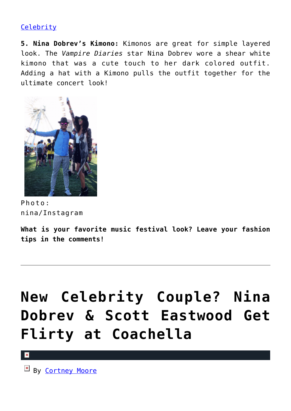### **[Celebrity](http://cupidspulse.com/116999/celebrity-looks-easy-ways-dress-like-celebrity/)**

**5. Nina Dobrev's Kimono:** Kimonos are great for simple layered look. The *Vampire Diaries* star Nina Dobrev wore a shear white kimono that was a cute touch to her dark colored outfit. Adding a hat with a Kimono pulls the outfit together for the ultimate concert look!



Photo: nina/Instagram

**What is your favorite music festival look? Leave your fashion tips in the comments!**

# **[New Celebrity Couple? Nina](https://cupidspulse.com/108345/new-celebrity-couple-nina-dobrev-scott-eastwood-flirty-coachella/) [Dobrev & Scott Eastwood Get](https://cupidspulse.com/108345/new-celebrity-couple-nina-dobrev-scott-eastwood-flirty-coachella/) [Flirty at Coachella](https://cupidspulse.com/108345/new-celebrity-couple-nina-dobrev-scott-eastwood-flirty-coachella/)**

 $\vert x \vert$ 

 $By$  [Cortney Moore](http://cupidspulse.com/107134/cortney-moore/)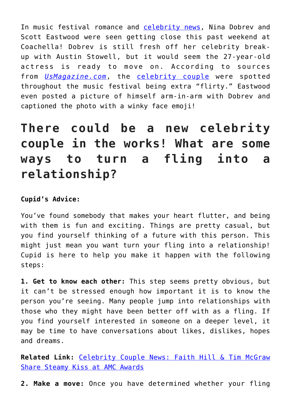In music festival romance and [celebrity news](http://cupidspulse.com/celebrity-relationships/), Nina Dobrev and Scott Eastwood were seen getting close this past weekend at Coachella! Dobrev is still fresh off her celebrity breakup with Austin Stowell, but it would seem the 27-year-old actress is ready to move on. According to sources from *[UsMagazine.com](http://www.usmagazine.com/celebrity-news/news/nina-dobrev-scott-eastwood-getting-close-and-flirty-at-coachella-w203213)*, the [celebrity couple](http://cupidspulse.com/celebrity-relationships/long-term-relationships-flings/) were spotted throughout the music festival being extra "flirty." Eastwood even posted a picture of himself arm-in-arm with Dobrev and captioned the photo with a winky face emoji!

## **There could be a new celebrity couple in the works! What are some ways to turn a fling into a relationship?**

#### **Cupid's Advice:**

You've found somebody that makes your heart flutter, and being with them is fun and exciting. Things are pretty casual, but you find yourself thinking of a future with this person. This might just mean you want turn your fling into a relationship! Cupid is here to help you make it happen with the following steps:

**1. Get to know each other:** This step seems pretty obvious, but it can't be stressed enough how important it is to know the person you're seeing. Many people jump into relationships with those who they might have been better off with as a fling. If you find yourself interested in someone on a deeper level, it may be time to have conversations about likes, dislikes, hopes and dreams.

**Related Link:** [Celebrity Couple News: Faith Hill & Tim McGraw](http://cupidspulse.com/107608/celebrity-couple-faith-hill-tim-mcgraw-steamy-kiss-amc-awards/) [Share Steamy Kiss at AMC Awards](http://cupidspulse.com/107608/celebrity-couple-faith-hill-tim-mcgraw-steamy-kiss-amc-awards/)

**2. Make a move:** Once you have determined whether your fling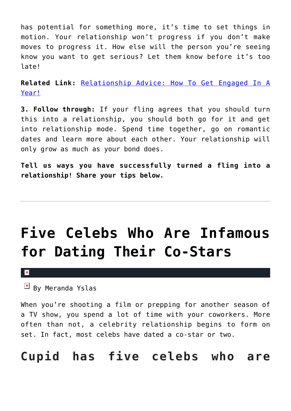has potential for something more, it's time to set things in motion. Your relationship won't progress if you don't make moves to progress it. How else will the person you're seeing know you want to get serious? Let them know before it's too late!

**Related Link:** [Relationship Advice: How To Get Engaged In A](http://cupidspulse.com/102464/relationship-advice-how-to-get-engaged-in-a-year/) [Year!](http://cupidspulse.com/102464/relationship-advice-how-to-get-engaged-in-a-year/)

**3. Follow through:** If your fling agrees that you should turn this into a relationship, you should both go for it and get into relationship mode. Spend time together, go on romantic dates and learn more about each other. Your relationship will only grow as much as your bond does.

**Tell us ways you have successfully turned a fling into a relationship! Share your tips below.**

# **[Five Celebs Who Are Infamous](https://cupidspulse.com/98788/five-celebs-infamous-dating-co-stars/) [for Dating Their Co-Stars](https://cupidspulse.com/98788/five-celebs-infamous-dating-co-stars/)**

 $\mathbf x$ 

 $\mathbb{E}$  By Meranda Yslas

When you're shooting a film or prepping for another season of a TV show, you spend a lot of time with your coworkers. More often than not, a celebrity relationship begins to form on set. In fact, most celebs have dated a co-star or two.

### **Cupid has five celebs who are**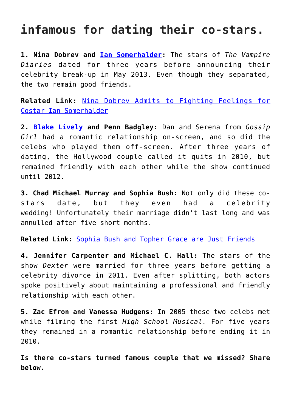### **infamous for dating their co-stars.**

**1. Nina Dobrev and [Ian Somerhalder](http://cupidspulse.com/94265/ian-somerhalder/):** The stars of *The Vampire Diaries* dated for three years before announcing their celebrity break-up in May 2013. Even though they separated, the two remain good friends.

**Related Link:** [Nina Dobrev Admits to Fighting Feelings for](http://cupidspulse.com/37795/nina-dobrev-fought-feelings-costar-ian-somerhalder-vampire-diaries/) [Costar Ian Somerhalder](http://cupidspulse.com/37795/nina-dobrev-fought-feelings-costar-ian-somerhalder-vampire-diaries/)

**2. [Blake Lively](http://cupidspulse.com/93047/blake-lively/) and Penn Badgley:** Dan and Serena from *Gossip Girl* had a romantic relationship on-screen, and so did the celebs who played them off-screen. After three years of dating, the Hollywood couple called it quits in 2010, but remained friendly with each other while the show continued until 2012.

**3. Chad Michael Murray and Sophia Bush:** Not only did these costars date, but they even had a celebrity wedding! Unfortunately their marriage didn't last long and was annulled after five short months.

**Related Link:** [Sophia Bush and Topher Grace are Just Friends](http://cupidspulse.com/35799/sophia-bush-denies-rumors-of-dating-topher-grace/)

**4. Jennifer Carpenter and Michael C. Hall:** The stars of the show *Dexter* were married for three years before getting a celebrity divorce in 2011. Even after splitting, both actors spoke positively about maintaining a professional and friendly relationship with each other.

**5. Zac Efron and Vanessa Hudgens:** In 2005 these two celebs met while filming the first *High School Musical.* For five years they remained in a romantic relationship before ending it in 2010.

**Is there co-stars turned famous couple that we missed? Share below.**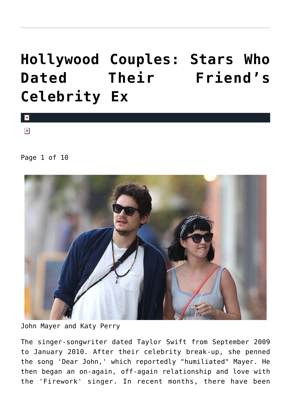# **[Hollywood Couples: Stars Who](https://cupidspulse.com/87379/hollywood-couples-stars-who-dated-their-friends-celebrity-ex/) [Dated Their Friend's](https://cupidspulse.com/87379/hollywood-couples-stars-who-dated-their-friends-celebrity-ex/) [Celebrity Ex](https://cupidspulse.com/87379/hollywood-couples-stars-who-dated-their-friends-celebrity-ex/)**



 $\vert \mathbf{x} \vert$ 

Page 1 of 10



John Mayer and Katy Perry

The singer-songwriter dated Taylor Swift from September 2009 to January 2010. After their celebrity break-up, she penned the song 'Dear John,' which reportedly "humiliated" Mayer. He then began an on-again, off-again relationship and love with the 'Firework' singer. In recent months, there have been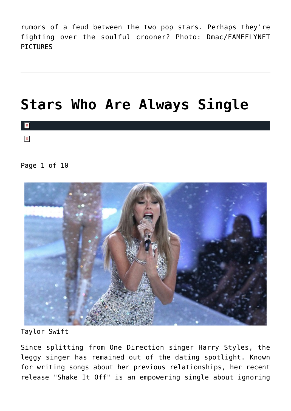rumors of a feud between the two pop stars. Perhaps they're fighting over the soulful crooner? Photo: Dmac/FAMEFLYNET **PTCTURES** 

## **[Stars Who Are Always Single](https://cupidspulse.com/81324/single-celebrities/)**



#### Page 1 of 10



Taylor Swift

Since splitting from One Direction singer Harry Styles, the leggy singer has remained out of the dating spotlight. Known for writing songs about her previous relationships, her recent release "Shake It Off" is an empowering single about ignoring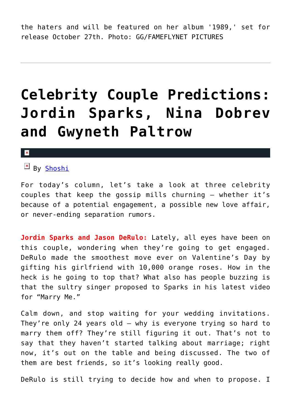the haters and will be featured on her album '1989,' set for release October 27th. Photo: GG/FAMEFLYNET PICTURES

## **[Celebrity Couple Predictions:](https://cupidspulse.com/70878/celebrity-couple-predictions-jordin-sparks-nina-dobrev-gwyneth-paltrow/) [Jordin Sparks, Nina Dobrev](https://cupidspulse.com/70878/celebrity-couple-predictions-jordin-sparks-nina-dobrev-gwyneth-paltrow/) [and Gwyneth Paltrow](https://cupidspulse.com/70878/celebrity-couple-predictions-jordin-sparks-nina-dobrev-gwyneth-paltrow/)**

#### $\pmb{\times}$

### $By$  [Shoshi](http://about.me/yolandashoshana)

For today's column, let's take a look at three celebrity couples that keep the gossip mills churning — whether it's because of a potential engagement, a possible new love affair, or never-ending separation rumors.

**Jordin Sparks and Jason DeRulo:** Lately, all eyes have been on this couple, wondering when they're going to get engaged. DeRulo made the smoothest move ever on Valentine's Day by gifting his girlfriend with 10,000 orange roses. How in the heck is he going to top that? What also has people buzzing is that the sultry singer proposed to Sparks in his latest video for "Marry Me."

Calm down, and stop waiting for your wedding invitations. They're only 24 years old — why is everyone trying so hard to marry them off? They're still figuring it out. That's not to say that they haven't started talking about marriage; right now, it's out on the table and being discussed. The two of them are best friends, so it's looking really good.

DeRulo is still trying to decide how and when to propose. I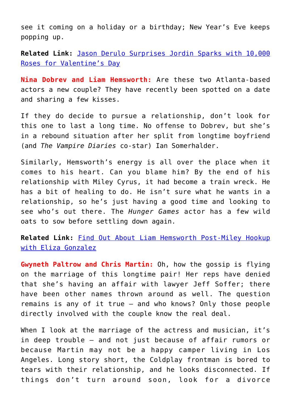see it coming on a holiday or a birthday; New Year's Eve keeps popping up.

**Related Link:** [Jason Derulo Surprises Jordin Sparks with 10,000](http://cupidspulse.com/jason-derulo-surprises-jordin-sparks-10000-roses-valentines-day/) [Roses for Valentine's Day](http://cupidspulse.com/jason-derulo-surprises-jordin-sparks-10000-roses-valentines-day/)

**Nina Dobrev and Liam Hemsworth:** Are these two Atlanta-based actors a new couple? They have recently been spotted on a date and sharing a few kisses.

If they do decide to pursue a relationship, don't look for this one to last a long time. No offense to Dobrev, but she's in a rebound situation after her split from longtime boyfriend (and *The Vampire Diaries* co-star) Ian Somerhalder.

Similarly, Hemsworth's energy is all over the place when it comes to his heart. Can you blame him? By the end of his relationship with Miley Cyrus, it had become a train wreck. He has a bit of healing to do. He isn't sure what he wants in a relationship, so he's just having a good time and looking to see who's out there. The *Hunger Games* actor has a few wild oats to sow before settling down again.

**Related Link:** [Find Out About Liam Hemsworth Post-Miley Hookup](http://cupidspulse.com/liam-hemsworth-moves-on-eiza-gonzalez/) [with Eliza Gonzalez](http://cupidspulse.com/liam-hemsworth-moves-on-eiza-gonzalez/)

**Gwyneth Paltrow and Chris Martin:** Oh, how the gossip is flying on the marriage of this longtime pair! Her reps have denied that she's having an affair with lawyer Jeff Soffer; there have been other names thrown around as well. The question remains is any of it true — and who knows? Only those people directly involved with the couple know the real deal.

When I look at the marriage of the actress and musician, it's in deep trouble — and not just because of affair rumors or because Martin may not be a happy camper living in Los Angeles. Long story short, the Coldplay frontman is bored to tears with their relationship, and he looks disconnected. If things don't turn around soon, look for a divorce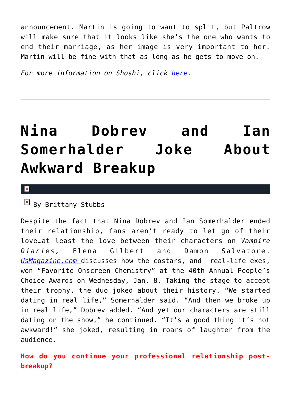announcement. Martin is going to want to split, but Paltrow will make sure that it looks like she's the one who wants to end their marriage, as her image is very important to her. Martin will be fine with that as long as he gets to move on.

*For more information on Shoshi, click [here.](http://cupidspulse.com/yolanda-shoshana-shoshi-lifestyle-provocateur/)*

# **[Nina Dobrev and Ian](https://cupidspulse.com/67505/nina-dobrev-and-ian-somerhalder-joke-about-awkward-breakup/) [Somerhalder Joke About](https://cupidspulse.com/67505/nina-dobrev-and-ian-somerhalder-joke-about-awkward-breakup/) [Awkward Breakup](https://cupidspulse.com/67505/nina-dobrev-and-ian-somerhalder-joke-about-awkward-breakup/)**

 $\pmb{\times}$ 

### $\overline{B}$  By Brittany Stubbs

Despite the fact that Nina Dobrev and Ian Somerhalder ended their relationship, fans aren't ready to let go of their love…at least the love between their characters on *Vampire Diaries,* Elena Gilbert and Damon Salvatore. *[UsMagazine.com](http://www.usmagazine.com/entertainment/news/nina-dobrev-ian-somerhalder-joke-about-breakup-chemistry-at-peoples-choice-awards-201481)* discusses how the costars, and real-life exes, won "Favorite Onscreen Chemistry" at the 40th Annual People's Choice Awards on Wednesday, Jan. 8. Taking the stage to accept their trophy, the duo joked about their history. "We started dating in real life," Somerhalder said. "And then we broke up in real life," Dobrev added. "And yet our characters are still dating on the show," he continued. "It's a good thing it's not awkward!" she joked, resulting in roars of laughter from the audience.

**How do you continue your professional relationship postbreakup?**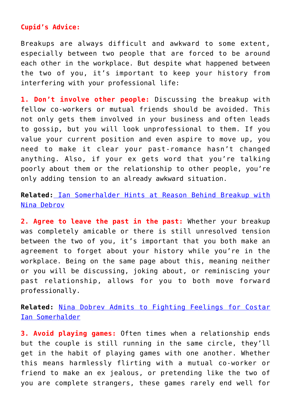#### **Cupid's Advice:**

Breakups are always difficult and awkward to some extent, especially between two people that are forced to be around each other in the workplace. But despite what happened between the two of you, it's important to keep your history from interfering with your professional life:

**1. Don't involve other people:** Discussing the breakup with fellow co-workers or mutual friends should be avoided. This not only gets them involved in your business and often leads to gossip, but you will look unprofessional to them. If you value your current position and even aspire to move up, you need to make it clear your past-romance hasn't changed anything. Also, if your ex gets word that you're talking poorly about them or the relationship to other people, you're only adding tension to an already awkward situation.

### **Related:** [Ian Somerhalder Hints at Reason Behind Breakup with](http://cupidspulse.com/ian-somerhalder-hints-breakup-nina-dobrev/) [Nina Debrov](http://cupidspulse.com/ian-somerhalder-hints-breakup-nina-dobrev/)

**2. Agree to leave the past in the past:** Whether your breakup was completely amicable or there is still unresolved tension between the two of you, it's important that you both make an agreement to forget about your history while you're in the workplace. Being on the same page about this, meaning neither or you will be discussing, joking about, or reminiscing your past relationship, allows for you to both move forward professionally.

**Related:** [Nina Dobrev Admits to Fighting Feelings for Costar](http://cupidspulse.com/nina-dobrev-fought-feelings-costar-ian-somerhalder-vampire-diaries/) [Ian Somerhalder](http://cupidspulse.com/nina-dobrev-fought-feelings-costar-ian-somerhalder-vampire-diaries/)

**3. Avoid playing games:** Often times when a relationship ends but the couple is still running in the same circle, they'll get in the habit of playing games with one another. Whether this means harmlessly flirting with a mutual co-worker or friend to make an ex jealous, or pretending like the two of you are complete strangers, these games rarely end well for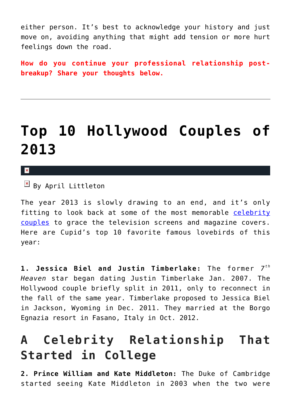either person. It's best to acknowledge your history and just move on, avoiding anything that might add tension or more hurt feelings down the road.

**How do you continue your professional relationship postbreakup? Share your thoughts below.** 

## **[Top 10 Hollywood Couples of](https://cupidspulse.com/64431/celebrity-couples-2013/) [2013](https://cupidspulse.com/64431/celebrity-couples-2013/)**

 $\mathbf{x}$ 

 $\overline{B}$  By April Littleton

The year 2013 is slowly drawing to an end, and it's only fitting to look back at some of the most memorable [celebrity](http://cupidspulse.com/celebrity-relationships/long-term-relationships-flings/) [couples](http://cupidspulse.com/celebrity-relationships/long-term-relationships-flings/) to grace the television screens and magazine covers. Here are Cupid's top 10 favorite famous lovebirds of this year:

**1. Jessica Biel and Justin Timberlake:** The former 7<sup>th</sup> *Heaven* star began dating Justin Timberlake Jan. 2007. The Hollywood couple briefly split in 2011, only to reconnect in the fall of the same year. Timberlake proposed to Jessica Biel in Jackson, Wyoming in Dec. 2011. They married at the Borgo Egnazia resort in Fasano, Italy in Oct. 2012.

### **A Celebrity Relationship That Started in College**

**2. Prince William and Kate Middleton:** The Duke of Cambridge started seeing Kate Middleton in 2003 when the two were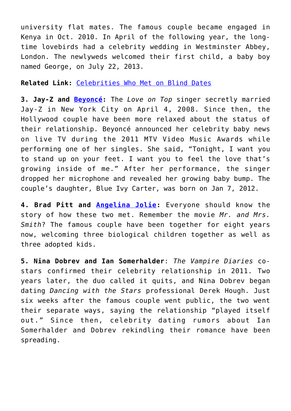university flat mates. The famous couple became engaged in Kenya in Oct. 2010. In April of the following year, the longtime lovebirds had a celebrity wedding in Westminster Abbey, London. The newlyweds welcomed their first child, a baby boy named George, on July 22, 2013.

#### **Related Link:** [Celebrities Who Met on Blind Dates](http://cupidspulse.com/celebrities-blind-dates/)

**3. Jay-Z and [Beyoncé:](http://cupidspulse.com/86087/beyonce/)** The *Love on Top* singer secretly married Jay-Z in New York City on April 4, 2008. Since then, the Hollywood couple have been more relaxed about the status of their relationship. Beyoncé announced her celebrity baby news on live TV during the 2011 MTV Video Music Awards while performing one of her singles. She said, "Tonight, I want you to stand up on your feet. I want you to feel the love that's growing inside of me." After her performance, the singer dropped her microphone and revealed her growing baby bump. The couple's daughter, Blue Ivy Carter, was born on Jan 7, 2012.

**4. Brad Pitt and [Angelina Jolie:](http://cupidspulse.com/86085/angelina-jolie/)** Everyone should know the story of how these two met. Remember the movie *Mr. and Mrs. Smith*? The famous couple have been together for eight years now, welcoming three biological children together as well as three adopted kids.

**5. Nina Dobrev and Ian Somerhalder**: *The Vampire Diaries* costars confirmed their celebrity relationship in 2011. Two years later, the duo called it quits, and Nina Dobrev began dating *Dancing with the Stars* professional Derek Hough. Just six weeks after the famous couple went public, the two went their separate ways, saying the relationship "played itself out." Since then, celebrity dating rumors about Ian Somerhalder and Dobrev rekindling their romance have been spreading.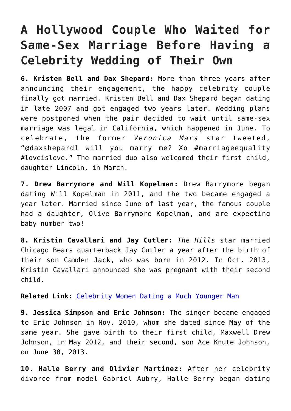### **A Hollywood Couple Who Waited for Same-Sex Marriage Before Having a Celebrity Wedding of Their Own**

**6. Kristen Bell and Dax Shepard:** More than three years after announcing their engagement, the happy celebrity couple finally got married. Kristen Bell and Dax Shepard began dating in late 2007 and got engaged two years later. Wedding plans were postponed when the pair decided to wait until same-sex marriage was legal in California, which happened in June. To celebrate, the former *Veronica Mars* star tweeted, "@daxshepard1 will you marry me? Xo #marriageequality #loveislove." The married duo also welcomed their first child, daughter Lincoln, in March.

**7. Drew Barrymore and Will Kopelman:** Drew Barrymore began dating Will Kopelman in 2011, and the two became engaged a year later. Married since June of last year, the famous couple had a daughter, Olive Barrymore Kopelman, and are expecting baby number two!

**8. Kristin Cavallari and Jay Cutler:** *The Hills* star married Chicago Bears quarterback Jay Cutler a year after the birth of their son Camden Jack, who was born in 2012. In Oct. 2013, Kristin Cavallari announced she was pregnant with their second child.

**Related Link:** [Celebrity Women Dating a Much Younger Man](http://cupidspulse.com/celebrity-women-dating-younger-man/)

**9. Jessica Simpson and Eric Johnson:** The singer became engaged to Eric Johnson in Nov. 2010, whom she dated since May of the same year. She gave birth to their first child, Maxwell Drew Johnson, in May 2012, and their second, son Ace Knute Johnson, on June 30, 2013.

**10. Halle Berry and Olivier Martinez:** After her celebrity divorce from model Gabriel Aubry, Halle Berry began dating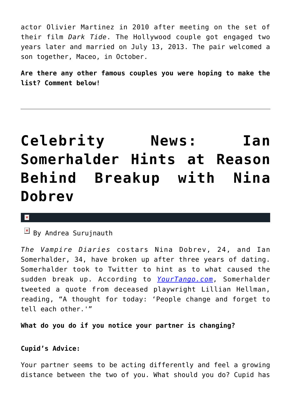actor Olivier Martinez in 2010 after meeting on the set of their film *Dark Tide*. The Hollywood couple got engaged two years later and married on July 13, 2013. The pair welcomed a son together, Maceo, in October.

**Are there any other famous couples you were hoping to make the list? Comment below!**

# **[Celebrity News: Ian](https://cupidspulse.com/49588/ian-somerhalder-hints-breakup-nina-dobrev/) [Somerhalder Hints at Reason](https://cupidspulse.com/49588/ian-somerhalder-hints-breakup-nina-dobrev/) [Behind Breakup with Nina](https://cupidspulse.com/49588/ian-somerhalder-hints-breakup-nina-dobrev/) [Dobrev](https://cupidspulse.com/49588/ian-somerhalder-hints-breakup-nina-dobrev/)**

#### $\mathbf{x}$

 $\mathbb{F}$  By Andrea Surujnauth

*The Vampire Diaries* costars Nina Dobrev, 24, and Ian Somerhalder, 34, have broken up after three years of dating. Somerhalder took to Twitter to hint as to what caused the sudden break up. According to *[YourTango.com](http://www.yourtango.com/2013182672/list-links)*, Somerhalder tweeted a quote from deceased playwright Lillian Hellman, reading, "A thought for today: 'People change and forget to tell each other.'"

**What do you do if you notice your partner is changing?**

### **Cupid's Advice:**

Your partner seems to be acting differently and feel a growing distance between the two of you. What should you do? Cupid has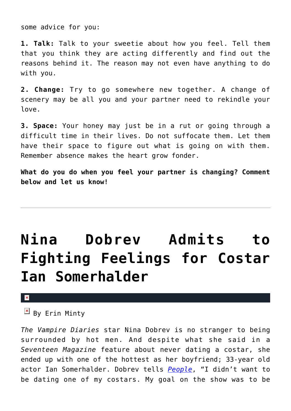some advice for you:

**1. Talk:** Talk to your sweetie about how you feel. Tell them that you think they are acting differently and find out the reasons behind it. The reason may not even have anything to do with you.

**2. Change:** Try to go somewhere new together. A change of scenery may be all you and your partner need to rekindle your love.

**3. Space:** Your honey may just be in a rut or going through a difficult time in their lives. Do not suffocate them. Let them have their space to figure out what is going on with them. Remember absence makes the heart grow fonder.

**What do you do when you feel your partner is changing? Comment below and let us know!**

# **[Nina Dobrev Admits to](https://cupidspulse.com/37795/nina-dobrev-fought-feelings-costar-ian-somerhalder-vampire-diaries/) [Fighting Feelings for Costar](https://cupidspulse.com/37795/nina-dobrev-fought-feelings-costar-ian-somerhalder-vampire-diaries/) [Ian Somerhalder](https://cupidspulse.com/37795/nina-dobrev-fought-feelings-costar-ian-somerhalder-vampire-diaries/)**

#### $\mathbf{x}$

 $\mathbb{E}$  By Erin Minty

*The Vampire Diaries* star Nina Dobrev is no stranger to being surrounded by hot men. And despite what she said in a *Seventeen Magazine* feature about never dating a costar, she ended up with one of the hottest as her boyfriend; 33-year old actor Ian Somerhalder. Dobrev tells *[People](http://www.people.com/people/article/0,,20626781,00.html)*, "I didn't want to be dating one of my costars. My goal on the show was to be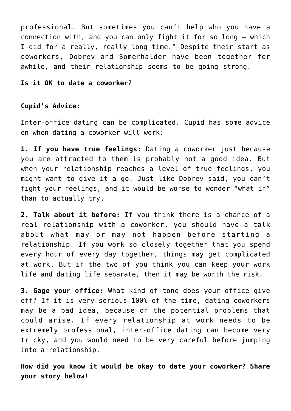professional. But sometimes you can't help who you have a connection with, and you can only fight it for so long — which I did for a really, really long time." Despite their start as coworkers, Dobrev and Somerhalder have been together for awhile, and their relationship seems to be going strong.

#### **Is it OK to date a coworker?**

#### **Cupid's Advice:**

Inter-office dating can be complicated. Cupid has some advice on when dating a coworker will work:

**1. If you have true feelings:** Dating a coworker just because you are attracted to them is probably not a good idea. But when your relationship reaches a level of true feelings, you might want to give it a go. Just like Dobrev said, you can't fight your feelings, and it would be worse to wonder "what if" than to actually try.

**2. Talk about it before:** If you think there is a chance of a real relationship with a coworker, you should have a talk about what may or may not happen before starting a relationship. If you work so closely together that you spend every hour of every day together, things may get complicated at work. But if the two of you think you can keep your work life and dating life separate, then it may be worth the risk.

**3. Gage your office:** What kind of tone does your office give off? If it is very serious 100% of the time, dating coworkers may be a bad idea, because of the potential problems that could arise. If every relationship at work needs to be extremely professional, inter-office dating can become very tricky, and you would need to be very careful before jumping into a relationship.

**How did you know it would be okay to date your coworker? Share your story below!**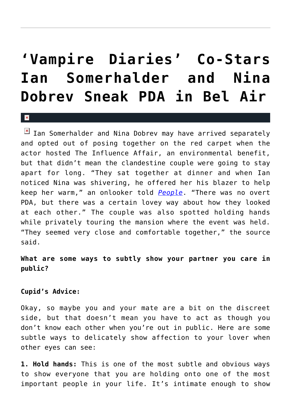## **['Vampire Diaries' Co-Stars](https://cupidspulse.com/30511/vampire-diaries-co-stars-ian-somerhalder-nina-dobrev-sneak-pda-bel-air/) [Ian Somerhalder and Nina](https://cupidspulse.com/30511/vampire-diaries-co-stars-ian-somerhalder-nina-dobrev-sneak-pda-bel-air/) [Dobrev Sneak PDA in Bel Air](https://cupidspulse.com/30511/vampire-diaries-co-stars-ian-somerhalder-nina-dobrev-sneak-pda-bel-air/)**

#### x

 $\boxed{\times}$  Ian Somerhalder and Nina Dobrev may have arrived separately and opted out of posing together on the red carpet when the actor hosted The Influence Affair, an environmental benefit, but that didn't mean the clandestine couple were going to stay apart for long. "They sat together at dinner and when Ian noticed Nina was shivering, he offered her his blazer to help keep her warm," an onlooker told *[People](http://www.people.com/people/article/0,,20589645,00.html)*. "There was no overt PDA, but there was a certain lovey way about how they looked at each other." The couple was also spotted holding hands while privately touring the mansion where the event was held. "They seemed very close and comfortable together," the source said.

### **What are some ways to subtly show your partner you care in public?**

#### **Cupid's Advice:**

Okay, so maybe you and your mate are a bit on the discreet side, but that doesn't mean you have to act as though you don't know each other when you're out in public. Here are some subtle ways to delicately show affection to your lover when other eyes can see:

**1. Hold hands:** This is one of the most subtle and obvious ways to show everyone that you are holding onto one of the most important people in your life. It's intimate enough to show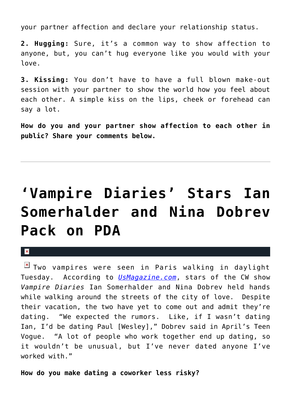your partner affection and declare your relationship status.

**2. Hugging:** Sure, it's a common way to show affection to anyone, but, you can't hug everyone like you would with your love.

**3. Kissing:** You don't have to have a full blown make-out session with your partner to show the world how you feel about each other. A simple kiss on the lips, cheek or forehead can say a lot.

**How do you and your partner show affection to each other in public? Share your comments below.**

# **['Vampire Diaries' Stars Ian](https://cupidspulse.com/15547/vampire-diaries-stars-ian-somerhalder-and-nina-dobrev-pack-on-pda/) [Somerhalder and Nina Dobrev](https://cupidspulse.com/15547/vampire-diaries-stars-ian-somerhalder-and-nina-dobrev-pack-on-pda/) [Pack on PDA](https://cupidspulse.com/15547/vampire-diaries-stars-ian-somerhalder-and-nina-dobrev-pack-on-pda/)**

 $\mathbf{x}$ 

**E** Two vampires were seen in Paris walking in daylight Tuesday. According to *[UsMagazine.com](http://www.usmagazine.com/celebritynews/news/vampire-diaries-ian-somerhalder-nina-dobrev-pack-on-pda-2011255)*, stars of the CW show *Vampire Diaries* Ian Somerhalder and Nina Dobrev held hands while walking around the streets of the city of love. Despite their vacation, the two have yet to come out and admit they're dating. "We expected the rumors. Like, if I wasn't dating Ian, I'd be dating Paul [Wesley]," Dobrev said in April's Teen Vogue. "A lot of people who work together end up dating, so it wouldn't be unusual, but I've never dated anyone I've worked with."

**How do you make dating a coworker less risky?**